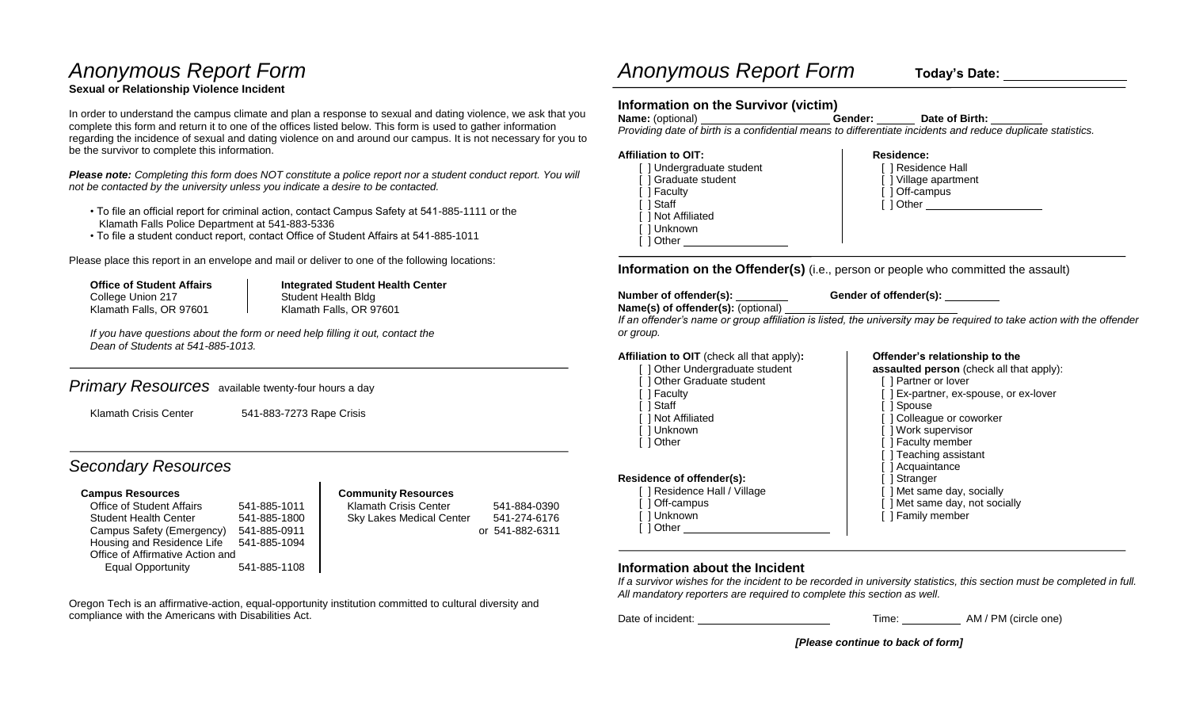# *Anonymous Report Form*

### **Sexual or Relationship Violence Incident**

In order to understand the campus climate and plan a response to sexual and dating violence, we ask that you complete this form and return it to one of the offices listed below. This form is used to gather information regarding the incidence of sexual and dating violence on and around our campus. It is not necessary for you to be the survivor to complete this information.

*Please note: Completing this form does NOT constitute a police report nor a student conduct report. You will not be contacted by the university unless you indicate a desire to be contacted.* 

- To file an official report for criminal action, contact Campus Safety at 541-885-1111 or the Klamath Falls Police Department at 541-883-5336
- To file a student conduct report, contact Office of Student Affairs at 541-885-1011

Please place this report in an envelope and mail or deliver to one of the following locations:

College Union 217 **Student Health Bldg** Klamath Falls, OR 97601 Klamath Falls, OR 97601

**Office of Student Affairs Integrated Student Health Center** 

*If you have questions about the form or need help filling it out, contact the Dean of Students at 541-885-1013.*

### *Primary Resources* available twenty-four hours a day

Klamath Crisis Center 541-883-7273 Rape Crisis

## *Secondary Resources*

#### **Campus Resources Community Resources**

Office of Student Affairs 541-885-1011 Klamath Crisis Center 541-884-0390 Student Health Center 541-885-1800 Sky Lakes Medical Center 541-274-6176 Housing and Residence Life 541-885-1094 Office of Affirmative Action and Equal Opportunity 541-885-1108

## *Anonymous Report Form* **Today's Date:**

#### **Information on the Survivor (victim)**

| <b>Name:</b> (optional)                                                                                     | Gender: | Date of Birth: |
|-------------------------------------------------------------------------------------------------------------|---------|----------------|
| Providing date of birth is a confidential means to differentiate incidents and reduce duplicate statistics. |         |                |

#### Affiliation to OIT: **Residence: Residence: Residence:** [ ] Undergraduate student [ ] Residence Hall [ ] Village apartment [ ] Faculty [ ] Off-campus [ ] Staff [ ] Other [ ] Not Affiliated [ ] Unknown [ ] Other \_\_\_\_\_\_\_\_

**Information on the Offender(s)** (i.e., person or people who committed the assault)

**Number of offender(s): Gender of offender(s): Name(s) of offender(s):** (optional)

*If an offender's name or group affiliation is listed, the university may be required to take action with the offender or group.* 

**Affiliation to OIT** (check all that apply)**: Offender's relationship to the**

- [ ] Other Undergraduate student **assaulted person** (check all that apply):
- [ ] Other Graduate student [ ] Partner or lover
- [ ] Faculty **[ ] Ex-partner, ex-spouse, or ex-lover**
- 1 Staff [ ] Staff [ ] Spouse
- | Not Affiliated | | | | Colleague or coworker
- [ ] Unknown [ ] Work supervisor
- [ ] Other [ ] Other [ ] Faculty member
	- [ ] Teaching assistant
	- [ ] Acquaintance<br>[ ] Stranger
	-
- [ ] Residence Hall / Village [ ] Met same day, socially [ ] Off-campus **[ ]**  $\blacksquare$  [ ] Met same day, not socially
	-

[ ] Unknown [ ] Unknown [ ] Tamily member

#### **Information about the Incident**

[ ] Other

**Residence of offender(s):** 

*If a survivor wishes for the incident to be recorded in university statistics, this section must be completed in full. All mandatory reporters are required to complete this section as well.* 

Date of incident: Time: AM / PM (circle one)

*[Please continue to back of form]* 

Oregon Tech is an affirmative-action, equal-opportunity institution committed to cultural diversity and compliance with the Americans with Disabilities Act.

Campus Safety (Emergency) 541-885-0911 | Campus Safety (Emergency) 541-882-0911